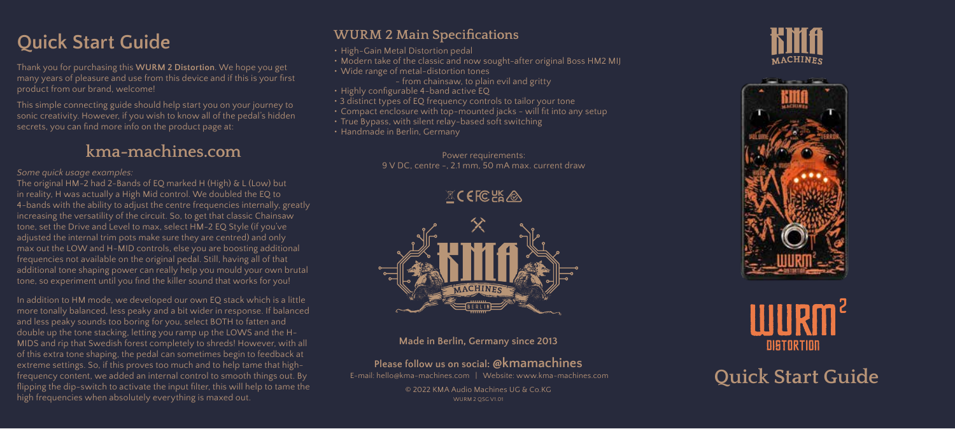# **Quick Start Guide**

Thank you for purchasing this **WURM 2 Distortion**. We hope you get many years of pleasure and use from this device and if this is your first product from our brand, welcome!

This simple connecting guide should help start you on your journey to sonic creativity. However, if you wish to know all of the pedal's hidden secrets, you can find more info on the product page at:

## **kma-machines.com**

#### *Some quick usage examples:*

The original HM-2 had 2-Bands of EQ marked H (High) & L (Low) but in reality, H was actually a High Mid control. We doubled the EQ to 4-bands with the ability to adjust the centre frequencies internally, greatly increasing the versatility of the circuit. So, to get that classic Chainsaw tone, set the Drive and Level to max, select HM-2 EQ Style (if you've adjusted the internal trim pots make sure they are centred) and only max out the LOW and H-MID controls, else you are boosting additional frequencies not available on the original pedal. Still, having all of that additional tone shaping power can really help you mould your own brutal tone, so experiment until you find the killer sound that works for you!

In addition to HM mode, we developed our own EQ stack which is a little more tonally balanced, less peaky and a bit wider in response. If balanced and less peaky sounds too boring for you, select BOTH to fatten and double up the tone stacking, letting you ramp up the LOWS and the H-MIDS and rip that Swedish forest completely to shreds! However, with all of this extra tone shaping, the pedal can sometimes begin to feedback at extreme settings. So, if this proves too much and to help tame that highfrequency content, we added an internal control to smooth things out. By flipping the dip-switch to activate the input filter, this will help to tame the high frequencies when absolutely everything is maxed out. WURM 2 QSG V1.01

## **WURM 2 Main Specifications**

- High-Gain Metal Distortion pedal
- Modern take of the classic and now sought-after original Boss HM2 MIJ
- Wide range of metal-distortion tones
	- from chainsaw, to plain evil and gritty
- Highly configurable 4-band active EQ
- 3 distinct types of EQ frequency controls to tailor your tone
- Compact enclosure with top-mounted jacks will fit into any setup
- True Bypass, with silent relay-based soft switching
- Handmade in Berlin, Germany

Power requirements: 9 V DC, centre -, 2.1 mm, 50 mA max. current draw

 $X$ CEFC $ER$ 



#### **Made in Berlin, Germany since 2013**

### **Please follow us on social: @kmamachines**

 E-mail: hello@kma-machines.com | Website: www.kma-machines.com © 2022 KMA Audio Machines UG & Co.KG